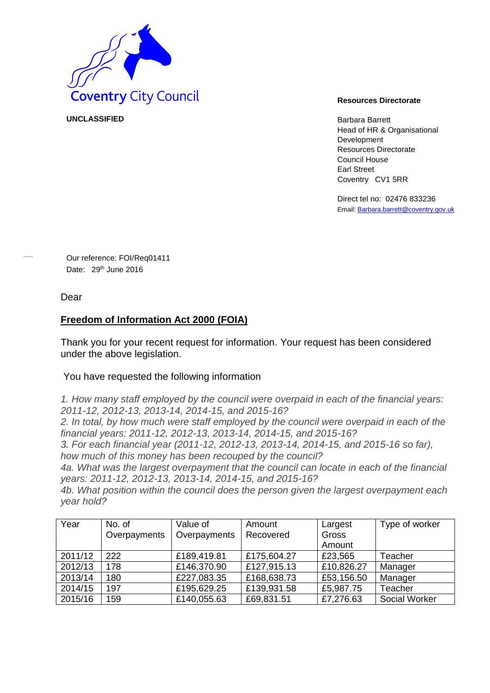

**UNCLASSIFIED** Barbara Barrett

Head of HR & Organisational Development Resources Directorate Council House Earl Street Coventry CV1 5RR

Direct tel no: 02476 833236 Email[: Barbara.barrett@coventry.gov.uk](mailto:Barbara.barrett@coventry.gov.uk)

Our reference: FOI/Req01411 Date: 29<sup>th</sup> June 2016

Dear

## **Freedom of Information Act 2000 (FOIA)**

Thank you for your recent request for information. Your request has been considered under the above legislation.

## You have requested the following information

*1. How many staff employed by the council were overpaid in each of the financial years: 2011-12, 2012-13, 2013-14, 2014-15, and 2015-16?* 

*2. In total, by how much were staff employed by the council were overpaid in each of the financial years: 2011-12, 2012-13, 2013-14, 2014-15, and 2015-16?* 

*3. For each financial year (2011-12, 2012-13, 2013-14, 2014-15, and 2015-16 so far), how much of this money has been recouped by the council?* 

*4a. What was the largest overpayment that the council can locate in each of the financial years: 2011-12, 2012-13, 2013-14, 2014-15, and 2015-16?* 

*4b. What position within the council does the person given the largest overpayment each year hold?* 

| Year    | No. of       | Value of     | Amount      | Largest    | Type of worker |
|---------|--------------|--------------|-------------|------------|----------------|
|         | Overpayments | Overpayments | Recovered   | Gross      |                |
|         |              |              |             | Amount     |                |
| 2011/12 | 222          | £189,419.81  | £175,604.27 | £23,565    | Teacher        |
| 2012/13 | 178          | £146,370.90  | £127,915.13 | £10,826.27 | Manager        |
| 2013/14 | 180          | £227,083.35  | £168,638.73 | £53,156.50 | Manager        |
| 2014/15 | 197          | £195,629.25  | £139,931.58 | £5,987.75  | Teacher        |
| 2015/16 | 159          | £140,055.63  | £69,831.51  | £7,276.63  | Social Worker  |